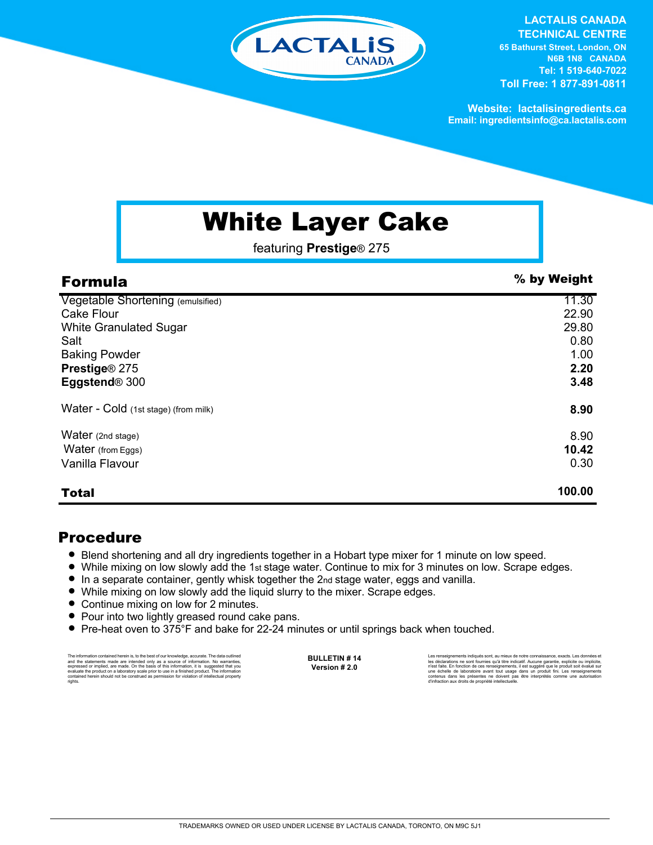

**LACTALIS CANADA** 

**TECHNICAL CENTRE 65 Bathurst Street, London, ON N6B 1N8 CANADA Tel: 1 519-640-7022 Toll Free: 1 877-891-0811**

**Website: lactalisingredients.ca Email: ingredientsinfo@ca.lactalis.com**

## White Layer Cake

featuring **Prestige**® 275

| <b>Formula</b>                       | % by Weight |
|--------------------------------------|-------------|
| Vegetable Shortening (emulsified)    | 11.30       |
| <b>Cake Flour</b>                    | 22.90       |
| <b>White Granulated Sugar</b>        | 29.80       |
| Salt                                 | 0.80        |
| <b>Baking Powder</b>                 | 1.00        |
| Prestige® 275                        | 2.20        |
| Eggstend <sup>®</sup> 300            | 3.48        |
| Water - Cold (1st stage) (from milk) | 8.90        |
| Water (2nd stage)                    | 8.90        |
| Water (from Eggs)                    | 10.42       |
| Vanilla Flavour                      | 0.30        |
| <b>Total</b>                         | 100.00      |

## Procedure

- = Blend shortening and all dry ingredients together in a Hobart type mixer for 1 minute on low speed.
- = While mixing on low slowly add the 1st stage water. Continue to mix for 3 minutes on low. Scrape edges.
- = In a separate container, gently whisk together the 2nd stage water, eggs and vanilla.
- While mixing on low slowly add the liquid slurry to the mixer. Scrape edges.
- Continue mixing on low for 2 minutes.
- Pour into two lightly greased round cake pans.
- Pre-heat oven to 375°F and bake for 22-24 minutes or until springs back when touched.

The information contained herein is, to the best of our knowledge, accurate. The data outlined the statements made are intended only as a source of information. No warranties, expressed or implied, are made. On the basis o

**BULLETIN # 14 Version # 2.0**

Les renseignements indiqués sont, au mieux de notre connaissance, exacts. Les données et<br>les déclarations ne sont fournies qu'à titre indicatif. Aucune garantie, explicite ou implicite,<br>rèst faite. En fonction de ces rense